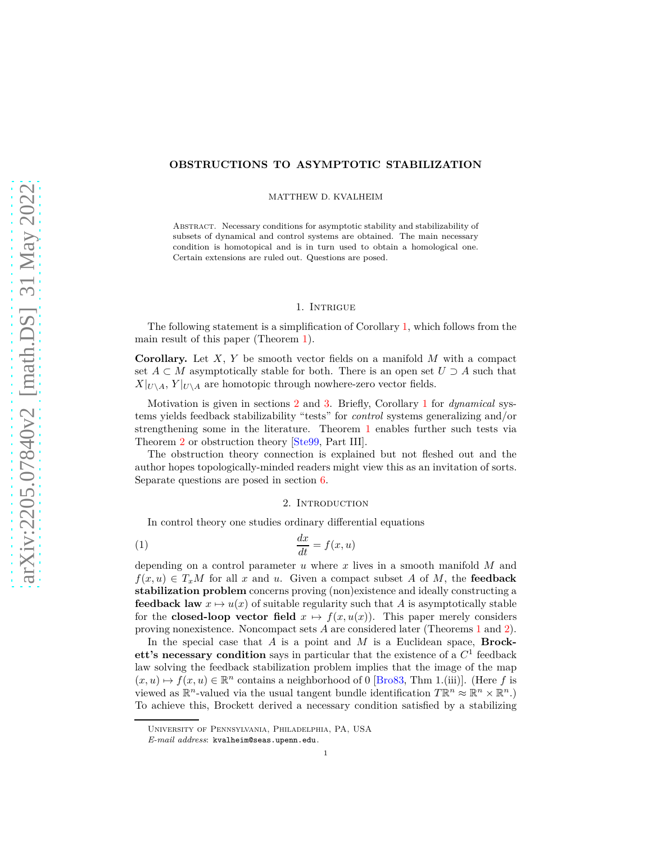# **OBSTRUCTIONS TO ASYMPTOTIC STABILIZATION**

MATTHEW D. KVALHEIM

Abstract. Necessary conditions for asymptotic stability and stabilizability of subsets of dynamical and control systems are obtained. The main necessary condition is homotopical and is in turn used to obtain a homological one. Certain extensions are ruled out. Questions are posed.

### 1. Intrigue

The following statement is a simplification of Corollary [1,](#page-1-0) which follows from the main result of this paper (Theorem [1\)](#page-1-1).

**Corollary.** Let *X*, *Y* be smooth vector fields on a manifold *M* with a compact set  $A \subset M$  asymptotically stable for both. There is an open set  $U \supset A$  such that  $X|_{U\setminus A}$ ,  $Y|_{U\setminus A}$  are homotopic through nowhere-zero vector fields.

Motivation is given in sections [2](#page-0-0) and [3.](#page-1-2) Briefly, Corollary [1](#page-1-0) for *dynamical* systems yields feedback stabilizability "tests" for *control* systems generalizing and/or strengthening some in the literature. Theorem [1](#page-1-1) enables further such tests via Theorem [2](#page-2-0) or obstruction theory [\[Ste99,](#page-8-0) Part III].

The obstruction theory connection is explained but not fleshed out and the author hopes topologically-minded readers might view this as an invitation of sorts. Separate questions are posed in section [6.](#page-6-0)

# <span id="page-0-1"></span>2. INTRODUCTION

<span id="page-0-0"></span>In control theory one studies ordinary differential equations

$$
\frac{dx}{dt} = f(x, u)
$$

depending on a control parameter *u* where *x* lives in a smooth manifold *M* and  $f(x, u) \in T_xM$  for all *x* and *u*. Given a compact subset *A* of *M*, the **feedback stabilization problem** concerns proving (non)existence and ideally constructing a **feedback law**  $x \mapsto u(x)$  of suitable regularity such that *A* is asymptotically stable for the **closed-loop vector field**  $x \mapsto f(x, u(x))$ . This paper merely considers proving nonexistence. Noncompact sets *A* are considered later (Theorems [1](#page-1-1) and [2\)](#page-2-0).

In the special case that *A* is a point and *M* is a Euclidean space, **Brockett's necessary condition** says in particular that the existence of a *C* 1 feedback law solving the feedback stabilization problem implies that the image of the map  $(x, u) \mapsto f(x, u) \in \mathbb{R}^n$  contains a neighborhood of 0 [\[Bro83,](#page-7-0) Thm 1.(iii)]. (Here *f* is viewed as  $\mathbb{R}^n$ -valued via the usual tangent bundle identification  $T\mathbb{R}^n \approx \mathbb{R}^n \times \mathbb{R}^n$ .) To achieve this, Brockett derived a necessary condition satisfied by a stabilizing

University of Pennsylvania, Philadelphia, PA, USA

*E-mail address*: kvalheim@seas.upenn.edu.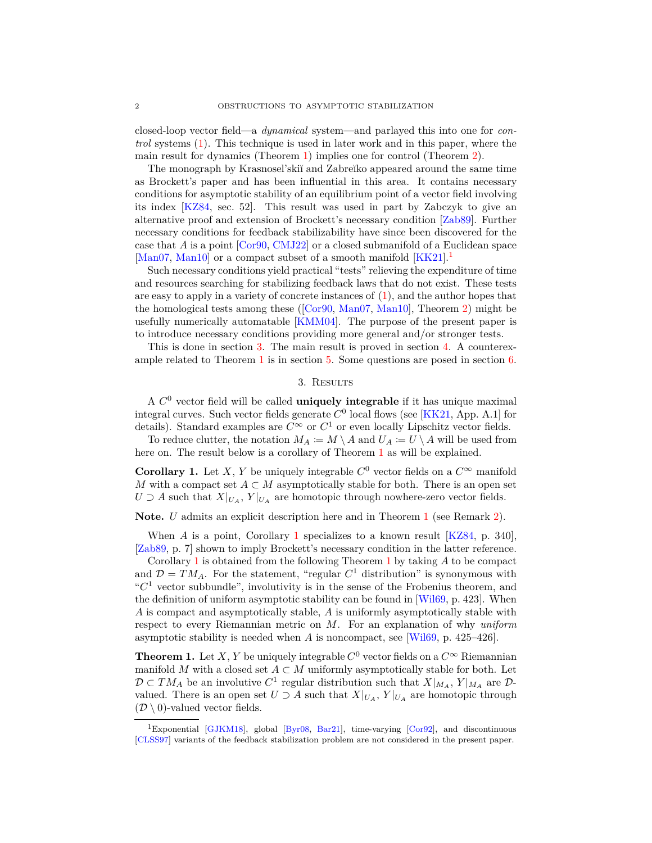closed-loop vector field—a *dynamical* system—and parlayed this into one for *control* systems [\(1\)](#page-0-1). This technique is used in later work and in this paper, where the main result for dynamics (Theorem [1\)](#page-1-1) implies one for control (Theorem [2\)](#page-2-0).

The monograph by Krasnosel'skiï and Zabreĭko appeared around the same time as Brockett's paper and has been influential in this area. It contains necessary conditions for asymptotic stability of an equilibrium point of a vector field involving its index [\[KZ84,](#page-8-1) sec. 52]. This result was used in part by Zabczyk to give an alternative proof and extension of Brockett's necessary condition [\[Zab89\]](#page-8-2). Further necessary conditions for feedback stabilizability have since been discovered for the case that *A* is a point [\[Cor90,](#page-7-1) [CMJ22\]](#page-7-2) or a closed submanifold of a Euclidean space [\[Man07,](#page-8-3) [Man10\]](#page-8-4) or a compact subset of a smooth manifold  $[KK21]$  $[KK21]$  $[KK21]$ <sup>1</sup>

Such necessary conditions yield practical "tests" relieving the expenditure of time and resources searching for stabilizing feedback laws that do not exist. These tests are easy to apply in a variety of concrete instances of [\(1\)](#page-0-1), and the author hopes that the homological tests among these ([\[Cor90,](#page-7-1) [Man07,](#page-8-3) [Man10\]](#page-8-4), Theorem [2\)](#page-2-0) might be usefully numerically automatable [\[KMM04\]](#page-8-6). The purpose of the present paper is to introduce necessary conditions providing more general and/or stronger tests.

<span id="page-1-2"></span>This is done in section [3.](#page-1-2) The main result is proved in section [4.](#page-3-0) A counterexample related to Theorem [1](#page-1-1) is in section [5.](#page-5-0) Some questions are posed in section [6.](#page-6-0)

### 3. Results

A *C* <sup>0</sup> vector field will be called **uniquely integrable** if it has unique maximal integral curves. Such vector fields generate  $C^0$  local flows (see [\[KK21,](#page-8-5) App. A.1] for details). Standard examples are  $C^{\infty}$  or  $C^1$  or even locally Lipschitz vector fields.

To reduce clutter, the notation  $M_A := M \setminus A$  and  $U_A := U \setminus A$  will be used from here on. The result below is a corollary of Theorem [1](#page-1-1) as will be explained.

<span id="page-1-0"></span>**Corollary 1.** Let *X*, *Y* be uniquely integrable  $C^0$  vector fields on a  $C^{\infty}$  manifold *M* with a compact set  $A \subset M$  asymptotically stable for both. There is an open set *U* ⊃ *A* such that  $X|_{U_A}$ ,  $Y|_{U_A}$  are homotopic through nowhere-zero vector fields.

**Note.** *U* admits an explicit description here and in Theorem [1](#page-1-1) (see Remark [2\)](#page-3-1).

When *A* is a point, Corollary [1](#page-1-0) specializes to a known result [\[KZ84,](#page-8-1) p. 340], [\[Zab89,](#page-8-2) p. 7] shown to imply Brockett's necessary condition in the latter reference.

Corollary [1](#page-1-0) is obtained from the following Theorem [1](#page-1-1) by taking *A* to be compact and  $\mathcal{D} = TM_A$ . For the statement, "regular  $C^1$  distribution" is synonymous with " $C<sup>1</sup>$  vector subbundle", involutivity is in the sense of the Frobenius theorem, and the definition of uniform asymptotic stability can be found in [\[Wil69,](#page-8-7) p. 423]. When *A* is compact and asymptotically stable, *A* is uniformly asymptotically stable with respect to every Riemannian metric on *M*. For an explanation of why *uniform* asymptotic stability is needed when *A* is noncompact, see [\[Wil69,](#page-8-7) p. 425–426].

<span id="page-1-1"></span>**Theorem 1.** Let *X*, *Y* be uniquely integrable  $C^0$  vector fields on a  $C^{\infty}$  Riemannian manifold *M* with a closed set  $A \subset M$  uniformly asymptotically stable for both. Let  $\mathcal{D} \subset TM_A$  be an involutive  $C^1$  regular distribution such that  $X|_{M_A}$ ,  $Y|_{M_A}$  are  $\mathcal{D}$ valued. There is an open set  $U \supset A$  such that  $X|_{U_A}$ ,  $Y|_{U_A}$  are homotopic through  $(\mathcal{D} \setminus 0)$ -valued vector fields.

<span id="page-1-3"></span><sup>&</sup>lt;sup>1</sup>Exponential [\[GJKM18\]](#page-7-3), global [\[Byr08,](#page-7-4) [Bar21\]](#page-7-5), time-varying [\[Cor92\]](#page-7-6), and discontinuous [\[CLSS97\]](#page-7-7) variants of the feedback stabilization problem are not considered in the present paper.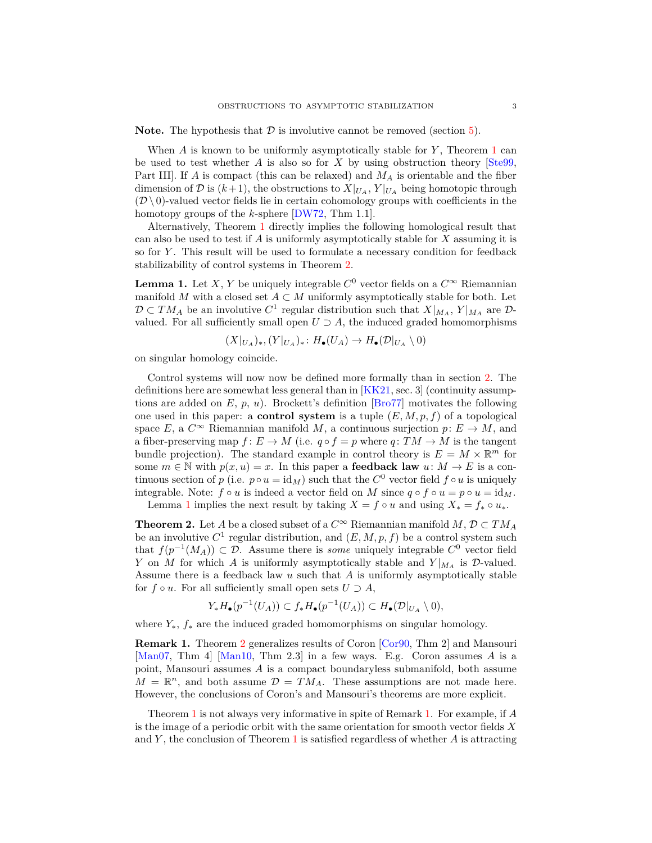**Note.** The hypothesis that  $\mathcal{D}$  is involutive cannot be removed (section [5\)](#page-5-0).

When *A* is known to be uniformly asymptotically stable for *Y* , Theorem [1](#page-1-1) can be used to test whether  $A$  is also so for  $X$  by using obstruction theory  $[Ste99]$ . Part III]. If *A* is compact (this can be relaxed) and *M<sup>A</sup>* is orientable and the fiber dimension of D is  $(k+1)$ , the obstructions to  $X|_{U_A}$ ,  $Y|_{U_A}$  being homotopic through  $(D \setminus 0)$ -valued vector fields lie in certain cohomology groups with coefficients in the homotopy groups of the *k*-sphere [\[DW72,](#page-7-8) Thm 1.1].

Alternatively, Theorem [1](#page-1-1) directly implies the following homological result that can also be used to test if *A* is uniformly asymptotically stable for *X* assuming it is so for *Y* . This result will be used to formulate a necessary condition for feedback stabilizability of control systems in Theorem [2.](#page-2-0)

<span id="page-2-1"></span>**Lemma 1.** Let *X*, *Y* be uniquely integrable  $C^0$  vector fields on a  $C^{\infty}$  Riemannian manifold *M* with a closed set  $A \subset M$  uniformly asymptotically stable for both. Let  $\mathcal{D} \subset TM_A$  be an involutive  $C^1$  regular distribution such that  $X|_{M_A}$ ,  $Y|_{M_A}$  are  $\mathcal{D}$ valued. For all sufficiently small open  $U \supset A$ , the induced graded homomorphisms

$$
(X|_{U_A})_*, (Y|_{U_A})_* : H_{\bullet}(U_A) \to H_{\bullet}(\mathcal{D}|_{U_A} \setminus 0)
$$

on singular homology coincide.

Control systems will now now be defined more formally than in section [2.](#page-0-0) The definitions here are somewhat less general than in [\[KK21,](#page-8-5) sec. 3] (continuity assumptions are added on  $E$ ,  $p$ ,  $u$ ). Brockett's definition [\[Bro77\]](#page-7-9) motivates the following one used in this paper: a **control system** is a tuple  $(E, M, p, f)$  of a topological space *E*, a  $C^{\infty}$  Riemannian manifold *M*, a continuous surjection  $p: E \to M$ , and a fiber-preserving map  $f: E \to M$  (i.e.  $q \circ f = p$  where  $q: TM \to M$  is the tangent bundle projection). The standard example in control theory is  $E = M \times \mathbb{R}^m$  for some  $m \in \mathbb{N}$  with  $p(x, u) = x$ . In this paper a **feedback law**  $u: M \to E$  is a continuous section of *p* (i.e.  $p \circ u = id_M$ ) such that the  $C^0$  vector field  $f \circ u$  is uniquely integrable. Note:  $f \circ u$  is indeed a vector field on *M* since  $q \circ f \circ u = p \circ u = id_M$ . Lemma [1](#page-2-1) implies the next result by taking  $X = f \circ u$  and using  $X_* = f_* \circ u_*$ .

<span id="page-2-0"></span>**Theorem 2.** Let *A* be a closed subset of a  $C^{\infty}$  Riemannian manifold *M*,  $\mathcal{D} \subset TM_A$ be an involutive  $C^1$  regular distribution, and  $(E, M, p, f)$  be a control system such that  $f(p^{-1}(M_A)) \subset \mathcal{D}$ . Assume there is *some* uniquely integrable  $C^0$  vector field *Y* on *M* for which *A* is uniformly asymptotically stable and  $Y|_{M_A}$  is D-valued. Assume there is a feedback law *u* such that *A* is uniformly asymptotically stable for  $f \circ u$ . For all sufficiently small open sets  $U \supset A$ ,

$$
Y_*H_\bullet(p^{-1}(U_A)) \subset f_*H_\bullet(p^{-1}(U_A)) \subset H_\bullet(\mathcal{D}|_{U_A} \setminus 0),
$$

where *Y*∗, *f*<sup>∗</sup> are the induced graded homomorphisms on singular homology.

<span id="page-2-2"></span>**Remark 1.** Theorem [2](#page-2-0) generalizes results of Coron [\[Cor90,](#page-7-1) Thm 2] and Mansouri [\[Man07,](#page-8-3) Thm 4] [\[Man10,](#page-8-4) Thm 2.3] in a few ways. E.g. Coron assumes *A* is a point, Mansouri assumes *A* is a compact boundaryless submanifold, both assume  $M = \mathbb{R}^n$ , and both assume  $\mathcal{D} = TM_A$ . These assumptions are not made here. However, the conclusions of Coron's and Mansouri's theorems are more explicit.

Theorem [1](#page-1-1) is not always very informative in spite of Remark [1.](#page-2-2) For example, if *A* is the image of a periodic orbit with the same orientation for smooth vector fields *X* and *Y* , the conclusion of Theorem [1](#page-1-1) is satisfied regardless of whether *A* is attracting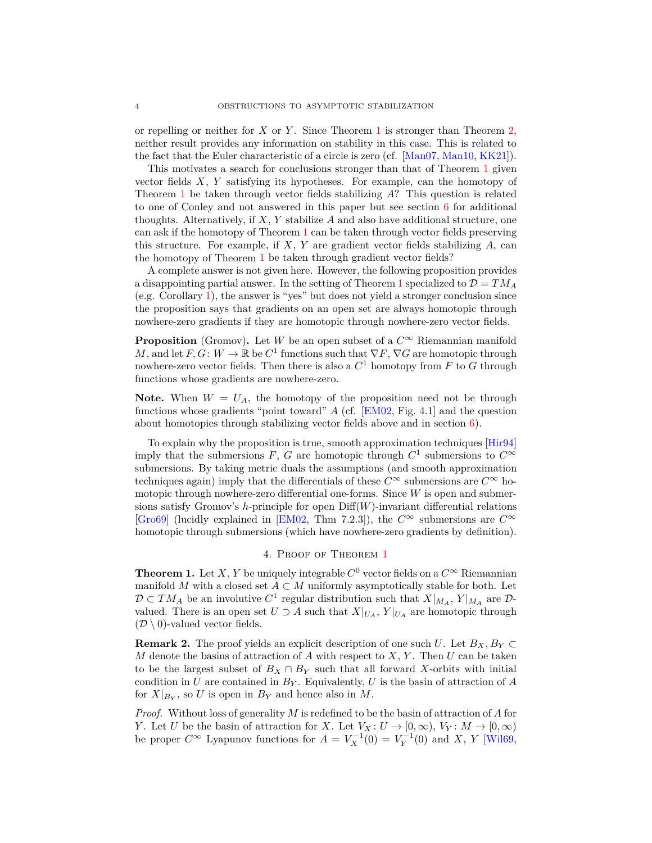or repelling or neither for *X* or *Y* . Since Theorem [1](#page-1-1) is stronger than Theorem [2,](#page-2-0) neither result provides any information on stability in this case. This is related to the fact that the Euler characteristic of a circle is zero (cf. [\[Man07,](#page-8-3) [Man10,](#page-8-4) [KK21\]](#page-8-5)).

This motivates a search for conclusions stronger than that of Theorem [1](#page-1-1) given vector fields *X*, *Y* satisfying its hypotheses. For example, can the homotopy of Theorem [1](#page-1-1) be taken through vector fields stabilizing *A*? This question is related to one of Conley and not answered in this paper but see section [6](#page-6-0) for additional thoughts. Alternatively, if *X*, *Y* stabilize *A* and also have additional structure, one can ask if the homotopy of Theorem [1](#page-1-1) can be taken through vector fields preserving this structure. For example, if *X*, *Y* are gradient vector fields stabilizing *A*, can the homotopy of Theorem [1](#page-1-1) be taken through gradient vector fields?

A complete answer is not given here. However, the following proposition provides a disappointing partial answer. In the setting of Theorem [1](#page-1-1) specialized to  $\mathcal{D} = TM_A$ (e.g. Corollary [1\)](#page-1-0), the answer is "yes" but does not yield a stronger conclusion since the proposition says that gradients on an open set are always homotopic through nowhere-zero gradients if they are homotopic through nowhere-zero vector fields.

**Proposition** (Gromov). Let *W* be an open subset of a  $C^{\infty}$  Riemannian manifold *M*, and let  $F, G: W \to \mathbb{R}$  be  $C^1$  functions such that  $\nabla F, \nabla G$  are homotopic through nowhere-zero vector fields. Then there is also a  $C^1$  homotopy from  $F$  to  $G$  through functions whose gradients are nowhere-zero.

**Note.** When  $W = U_A$ , the homotopy of the proposition need not be through functions whose gradients "point toward" *A* (cf. [\[EM02,](#page-7-10) Fig. 4.1] and the question about homotopies through stabilizing vector fields above and in section [6\)](#page-6-0).

To explain why the proposition is true, smooth approximation techniques [\[Hir94\]](#page-8-8) imply that the submersions *F*, *G* are homotopic through  $C^1$  submersions to  $C^{\infty}$ submersions. By taking metric duals the assumptions (and smooth approximation techniques again) imply that the differentials of these  $C^{\infty}$  submersions are  $C^{\infty}$  homotopic through nowhere-zero differential one-forms. Since *W* is open and submersions satisfy Gromov's *h*-principle for open Diff(*W*)-invariant differential relations  $[Gro69]$  (lucidly explained in [\[EM02,](#page-7-10) Thm 7.2.3]), the  $C^{\infty}$  submersions are  $C^{\infty}$ homotopic through submersions (which have nowhere-zero gradients by definition).

## 4. Proof of Theorem [1](#page-1-1)

<span id="page-3-0"></span>**Theorem 1.** Let *X*, *Y* be uniquely integrable  $C^0$  vector fields on a  $C^{\infty}$  Riemannian manifold *M* with a closed set  $A \subset M$  uniformly asymptotically stable for both. Let  $\mathcal{D} \subset TM_A$  be an involutive  $C^1$  regular distribution such that  $X|_{M_A}$ ,  $Y|_{M_A}$  are  $\mathcal{D}$ valued. There is an open set  $U \supset A$  such that  $X|_{U_A}$ ,  $Y|_{U_A}$  are homotopic through  $(\mathcal{D} \setminus 0)$ -valued vector fields.

<span id="page-3-1"></span>**Remark 2.** The proof yields an explicit description of one such *U*. Let  $B_X, B_Y \subset$ *M* denote the basins of attraction of *A* with respect to *X*, *Y* . Then *U* can be taken to be the largest subset of  $B_X \cap B_Y$  such that all forward *X*-orbits with initial condition in *U* are contained in  $B_Y$ . Equivalently, *U* is the basin of attraction of *A* for  $X|_{B_Y}$ , so U is open in  $B_Y$  and hence also in M.

*Proof.* Without loss of generality *M* is redefined to be the basin of attraction of *A* for *Y*. Let *U* be the basin of attraction for *X*. Let  $V_X: U \to [0, \infty), V_Y: M \to [0, \infty)$ be proper  $C^{\infty}$  Lyapunov functions for  $A = V_X^{-1}(0) = V_Y^{-1}(0)$  and X, Y [\[Wil69,](#page-8-7)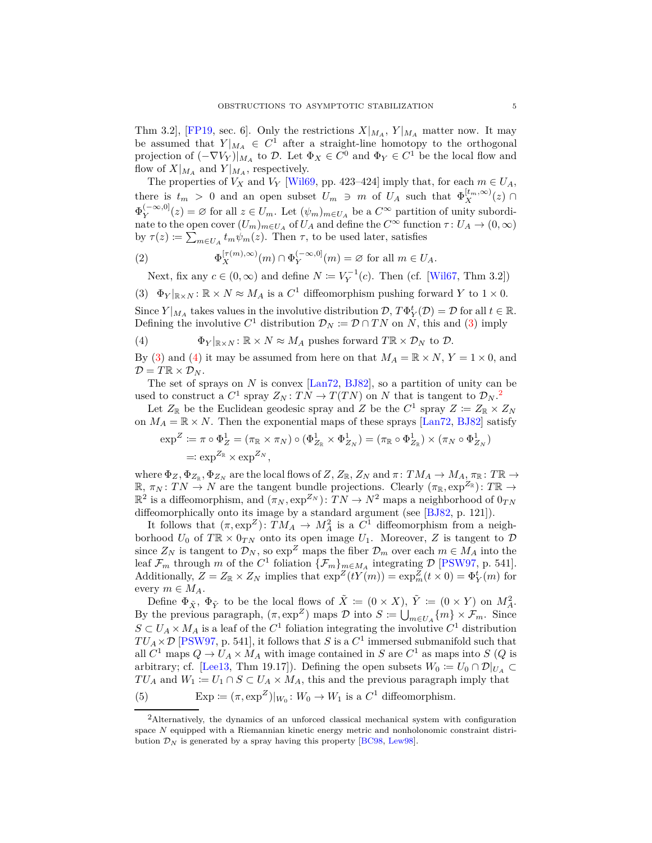Thm 3.2], [\[FP19,](#page-7-11) sec. 6]. Only the restrictions  $X|_{M_A}$ ,  $Y|_{M_A}$  matter now. It may be assumed that  $Y|_{M_A} \in C^1$  after a straight-line homotopy to the orthogonal projection of  $(-\nabla V_Y)|_{M_A}$  to D. Let  $\Phi_X \in C^0$  and  $\Phi_Y \in C^1$  be the local flow and flow of  $X|_{M_A}$  and  $Y|_{M_A}$ , respectively.

The properties of  $V_X$  and  $V_Y$  [\[Wil69,](#page-8-7) pp. 423–424] imply that, for each  $m \in U_A$ , there is  $t_m > 0$  and an open subset  $U_m \ni m$  of  $U_A$  such that  $\Phi_X^{[t_m,\infty)}(z) \cap$  $\Phi_Y^{(-\infty,0]}(z) = \varnothing$  for all  $z \in U_m$ . Let  $(\psi_m)_{m \in U_A}$  be a  $C^{\infty}$  partition of unity subordinate to the open cover  $(U_m)_{m \in U_A}$  of  $U_A$  and define the  $C^{\infty}$  function  $\tau: U_A \to (0, \infty)$ by  $\tau(z) \coloneqq \sum_{m \in U_A} t_m \psi_m(z)$ . Then  $\tau$ , to be used later, satisfies

(2) 
$$
\Phi_X^{[\tau(m),\infty)}(m) \cap \Phi_Y^{(-\infty,0]}(m) = \varnothing \text{ for all } m \in U_A.
$$

<span id="page-4-3"></span><span id="page-4-0"></span>Next, fix any  $c \in (0, \infty)$  and define  $N \coloneqq V_Y^{-1}(c)$ . Then (cf. [\[Wil67,](#page-8-10) Thm 3.2])

(3)  $\Phi_Y|_{\mathbb{R}\times N}:\mathbb{R}\times N\approx M_A$  is a  $C^1$  diffeomorphism pushing forward  $Y$  to  $1\times 0$ .

Since  $Y|_{M_A}$  takes values in the involutive distribution  $D$ ,  $T\Phi_Y^t(D) = D$  for all  $t \in \mathbb{R}$ . Defining the involutive  $C^1$  distribution  $\mathcal{D}_N \coloneqq \mathcal{D} \cap TN$  on *N*, this and [\(3\)](#page-4-0) imply

<span id="page-4-1"></span>(4) 
$$
\Phi_Y|_{\mathbb{R}\times N}:\mathbb{R}\times N\approx M_A \text{ pushes forward } T\mathbb{R}\times \mathcal{D}_N \text{ to } \mathcal{D}.
$$

By [\(3\)](#page-4-0) and [\(4\)](#page-4-1) it may be assumed from here on that  $M_A = \mathbb{R} \times N$ ,  $Y = 1 \times 0$ , and  $\mathcal{D} = T\mathbb{R} \times \mathcal{D}_N$ .

The set of sprays on *N* is convex [\[Lan72,](#page-8-11) [BJ82\]](#page-7-12), so a partition of unity can be used to construct a  $C^1$  spray  $Z_N: TN \to T(TN)$  on N that is tangent to  $\mathcal{D}_N$ .<sup>[2](#page-4-2)</sup>

Let  $Z_{\mathbb{R}}$  be the Euclidean geodesic spray and *Z* be the  $C^1$  spray  $Z \coloneqq Z_{\mathbb{R}} \times Z_N$ on  $M_A = \mathbb{R} \times N$ . Then the exponential maps of these sprays [\[Lan72,](#page-8-11) [BJ82\]](#page-7-12) satisfy

$$
\exp^{Z} := \pi \circ \Phi_{Z}^{1} = (\pi_{\mathbb{R}} \times \pi_{N}) \circ (\Phi_{Z_{\mathbb{R}}}^{1} \times \Phi_{Z_{N}}^{1}) = (\pi_{\mathbb{R}} \circ \Phi_{Z_{\mathbb{R}}}^{1}) \times (\pi_{N} \circ \Phi_{Z_{N}}^{1})
$$
  
=:  $\exp^{Z_{\mathbb{R}}} \times \exp^{Z_{N}}$ ,

where  $\Phi_Z, \Phi_{Z_{\mathbb{R}}}, \Phi_{Z_N}$  are the local flows of  $Z, Z_{\mathbb{R}}, Z_N$  and  $\pi: TM_A \to M_A, \pi_{\mathbb{R}}: T\mathbb{R} \to$  $\mathbb{R}, \pi_N : TN \to N$  are the tangent bundle projections. Clearly  $(\pi_{\mathbb{R}}, \exp^{Z_{\mathbb{R}}}) : T\mathbb{R} \to$  $\mathbb{R}^2$  is a diffeomorphism, and  $(\pi_N, \exp^{Z_N})$ :  $TN \to N^2$  maps a neighborhood of  $0_{TN}$ diffeomorphically onto its image by a standard argument (see [\[BJ82,](#page-7-12) p. 121]).

It follows that  $(\pi, \exp^Z)$ :  $TM_A \to M_A^2$  is a  $C^1$  diffeomorphism from a neighborhood  $U_0$  of  $T \mathbb{R} \times 0_{TN}$  onto its open image  $U_1$ . Moreover, Z is tangent to  $\mathcal{D}$ since  $Z_N$  is tangent to  $\mathcal{D}_N$ , so  $\exp^Z$  maps the fiber  $\mathcal{D}_m$  over each  $m \in M_A$  into the leaf  $\mathcal{F}_m$  through *m* of the  $C^1$  foliation  $\{\mathcal{F}_m\}_{m \in M_A}$  integrating  $\mathcal{D}$  [\[PSW97,](#page-8-12) p. 541]. Additionally,  $Z = Z_{\mathbb{R}} \times Z_N$  implies that  $\exp^Z(tY(m)) = \exp^Z_m(t \times 0) = \Phi^t_Y(m)$  for every  $m \in M_A$ .

Define  $\Phi_{\tilde{X}}$ ,  $\Phi_{\tilde{Y}}$  to be the local flows of  $\tilde{X} := (0 \times X)$ ,  $\tilde{Y} := (0 \times Y)$  on  $M_A^2$ . By the previous paragraph,  $(\pi, \exp^Z)$  maps  $\mathcal D$  into  $S := \bigcup_{m \in U_A} \{m\} \times \mathcal F_m$ . Since  $S \subset U_A \times M_A$  is a leaf of the  $C^1$  foliation integrating the involutive  $C^1$  distribution  $TU_A \times \mathcal{D}$  [\[PSW97,](#page-8-12) p. 541], it follows that *S* is a  $C^1$  immersed submanifold such that all  $C^1$  maps  $Q \to U_A \times M_A$  with image contained in *S* are  $C^1$  as maps into *S* (*Q* is arbitrary; cf. [\[Lee13,](#page-8-13) Thm 19.17]). Defining the open subsets  $W_0 := U_0 \cap \mathcal{D}|_{U_A} \subset$  $TU_A$  and  $W_1 := U_1 \cap S \subset U_A \times M_A$ , this and the previous paragraph imply that

<span id="page-4-4"></span>(5) 
$$
\operatorname{Exp} \coloneqq (\pi, \exp^Z)|_{W_0}: W_0 \to W_1 \text{ is a } C^1 \text{ diffeomorphism.}
$$

<span id="page-4-2"></span><sup>2</sup>Alternatively, the dynamics of an unforced classical mechanical system with configuration space *N* equipped with a Riemannian kinetic energy metric and nonholonomic constraint distribution  $\mathcal{D}_N$  is generated by a spray having this property [\[BC98,](#page-7-13) [Lew98\]](#page-8-14).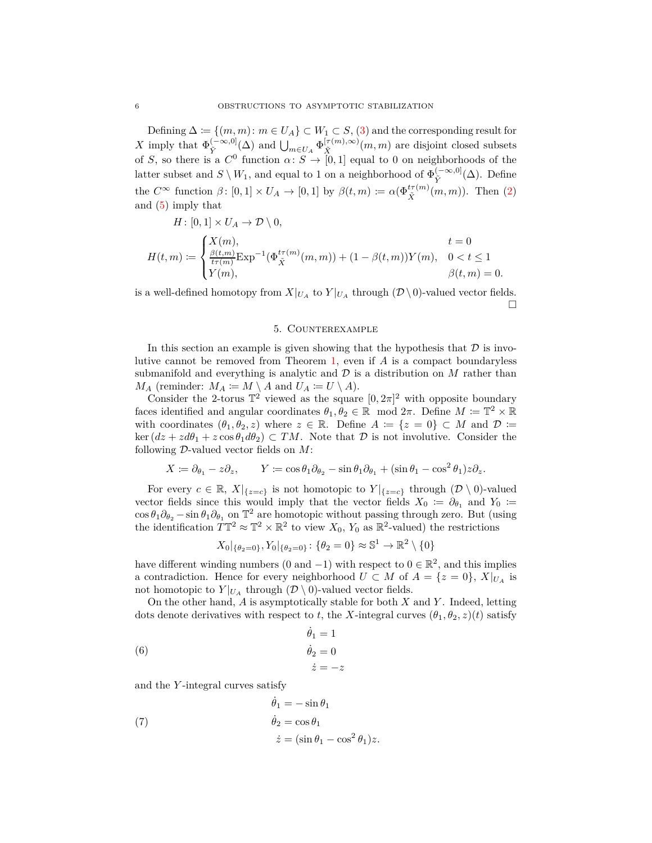Defining  $\Delta := \{(m, m): m \in U_A\} \subset W_1 \subset S$ , [\(3\)](#page-4-0) and the corresponding result for *X* imply that  $\Phi_{\tilde{V}}^{(-\infty,0]}$  $\oint_{\tilde{Y}}^{(-\infty,0]} (\Delta)$  and  $\bigcup_{m \in U_A} \Phi_{\tilde{X}}^{[\tau(m),\infty)}$  $(X(\tilde{X}, m), \infty)$  *(m, m)* are disjoint closed subsets of *S*, so there is a  $C^0$  function  $\alpha: S \to [0,1]$  equal to 0 on neighborhoods of the latter subset and  $S \setminus W_1$ , and equal to 1 on a neighborhood of  $\Phi_{\tilde{Y}}^{(-\infty,0]}$  $\tilde{Y}$ <sup> $(−∞, 0]$ </sup>( $\Delta$ ). Define the  $C^{\infty}$  function  $\beta$ :  $[0,1] \times U_A \to [0,1]$  by  $\beta(t,m) := \alpha(\Phi_{\tilde{X}}^{t\tau(m)}(m,m))$ . Then [\(2\)](#page-4-3) and [\(5\)](#page-4-4) imply that

$$
H\colon [0,1]\times U_A\to \mathcal{D}\setminus 0,
$$

$$
H(t,m) := \begin{cases} X(m), & t = 0\\ \frac{\beta(t,m)}{t\tau(m)} \text{Exp}^{-1}(\Phi_{\tilde{X}}^{t\tau(m)}(m,m)) + (1 - \beta(t,m))Y(m), & 0 < t \le 1\\ Y(m), & \beta(t,m) = 0. \end{cases}
$$

<span id="page-5-0"></span>is a well-defined homotopy from  $X|_{U_A}$  to  $Y|_{U_A}$  through  $(\mathcal{D} \setminus 0)$ -valued vector fields.  $\Box$ 

## 5. Counterexample

In this section an example is given showing that the hypothesis that  $\mathcal D$  is involutive cannot be removed from Theorem [1,](#page-1-1) even if *A* is a compact boundaryless submanifold and everything is analytic and  $D$  is a distribution on  $M$  rather than *M<sub>A</sub>* (reminder:  $M_A \coloneqq M \setminus A$  and  $U_A \coloneqq U \setminus A$ ).

Consider the 2-torus  $\mathbb{T}^2$  viewed as the square  $[0, 2\pi]^2$  with opposite boundary faces identified and angular coordinates  $\theta_1, \theta_2 \in \mathbb{R}$  mod  $2\pi$ . Define  $M := \mathbb{T}^2 \times \mathbb{R}$ with coordinates  $(\theta_1, \theta_2, z)$  where  $z \in \mathbb{R}$ . Define  $A := \{z = 0\} \subset M$  and  $\mathcal{D} :=$  $\ker (dz + zd\theta_1 + z\cos\theta_1 d\theta_2) \subset TM$ . Note that  $D$  is not involutive. Consider the following D-valued vector fields on *M*:

$$
X \coloneqq \partial_{\theta_1} - z \partial_z, \qquad Y \coloneqq \cos \theta_1 \partial_{\theta_2} - \sin \theta_1 \partial_{\theta_1} + (\sin \theta_1 - \cos^2 \theta_1) z \partial_z.
$$

For every  $c \in \mathbb{R}$ ,  $X|_{\{z=c\}}$  is not homotopic to  $Y|_{\{z=c\}}$  through  $(\mathcal{D} \setminus 0)$ -valued vector fields since this would imply that the vector fields  $X_0 := \partial_{\theta_1}$  and  $Y_0 :=$  $\cos \theta_1 \partial_{\theta_2} - \sin \theta_1 \partial_{\theta_1}$  on  $\mathbb{T}^2$  are homotopic without passing through zero. But (using the identification  $T\mathbb{T}^2 \approx \mathbb{T}^2 \times \mathbb{R}^2$  to view  $X_0$ ,  $Y_0$  as  $\mathbb{R}^2$ -valued) the restrictions

$$
X_0|_{\{\theta_2=0\}}, Y_0|_{\{\theta_2=0\}} \colon \{\theta_2=0\} \approx \mathbb{S}^1 \to \mathbb{R}^2 \setminus \{0\}
$$

have different winding numbers (0 and -1) with respect to  $0 \in \mathbb{R}^2$ , and this implies a contradiction. Hence for every neighborhood  $U \subset M$  of  $A = \{z = 0\}$ ,  $X|_{U_A}$  is not homotopic to  $Y|_{U_A}$  through  $(\mathcal{D} \setminus 0)$ -valued vector fields.

On the other hand, *A* is asymptotically stable for both *X* and *Y* . Indeed, letting dots denote derivatives with respect to *t*, the *X*-integral curves  $(\theta_1, \theta_2, z)(t)$  satisfy

<span id="page-5-1"></span>
$$
\dot{\theta}_1 = 1
$$
  
(6)  

$$
\dot{\theta}_2 = 0
$$
  

$$
\dot{z} = -z
$$

and the *Y* -integral curves satisfy

<span id="page-5-2"></span>(7) 
$$
\dot{\theta}_1 = -\sin \theta_1
$$

$$
\dot{\theta}_2 = \cos \theta_1
$$

$$
\dot{z} = (\sin \theta_1 - \cos^2 \theta_1)z.
$$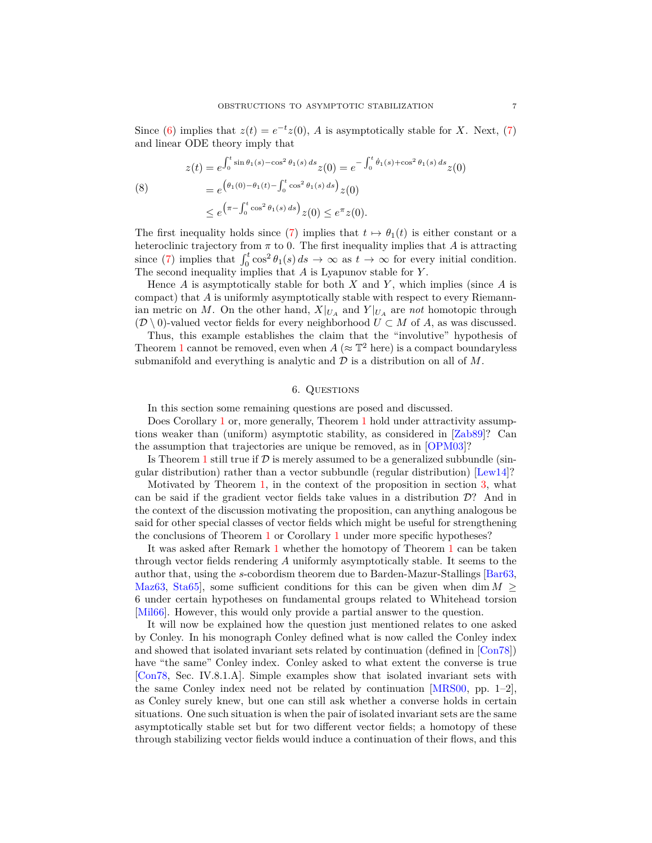Since [\(6\)](#page-5-1) implies that  $z(t) = e^{-t}z(0)$ , *A* is asymptotically stable for *X*. Next, [\(7\)](#page-5-2) and linear ODE theory imply that

(8)  
\n
$$
z(t) = e^{\int_0^t \sin \theta_1(s) - \cos^2 \theta_1(s) ds} z(0) = e^{-\int_0^t \dot{\theta}_1(s) + \cos^2 \theta_1(s) ds} z(0)
$$
\n
$$
= e^{\left(\theta_1(0) - \theta_1(t) - \int_0^t \cos^2 \theta_1(s) ds\right)} z(0)
$$
\n
$$
\leq e^{\left(\pi - \int_0^t \cos^2 \theta_1(s) ds\right)} z(0) \leq e^{\pi} z(0).
$$

The first inequality holds since [\(7\)](#page-5-2) implies that  $t \mapsto \theta_1(t)$  is either constant or a heteroclinic trajectory from  $\pi$  to 0. The first inequality implies that  $A$  is attracting since [\(7\)](#page-5-2) implies that  $\int_0^t \cos^2 \theta_1(s) ds \to \infty$  as  $t \to \infty$  for every initial condition. The second inequality implies that *A* is Lyapunov stable for *Y* .

Hence *A* is asymptotically stable for both *X* and *Y* , which implies (since *A* is compact) that *A* is uniformly asymptotically stable with respect to every Riemannian metric on *M*. On the other hand,  $X|_{U_A}$  and  $Y|_{U_A}$  are *not* homotopic through  $(D \setminus 0)$ -valued vector fields for every neighborhood  $U \subset M$  of  $A$ , as was discussed.

Thus, this example establishes the claim that the "involutive" hypothesis of Theorem [1](#page-1-1) cannot be removed, even when  $A \approx \mathbb{T}^2$  here) is a compact boundaryless submanifold and everything is analytic and  $D$  is a distribution on all of  $M$ .

#### 6. Questions

<span id="page-6-0"></span>In this section some remaining questions are posed and discussed.

Does Corollary [1](#page-1-1) or, more generally, Theorem 1 hold under attractivity assumptions weaker than (uniform) asymptotic stability, as considered in [\[Zab89\]](#page-8-2)? Can the assumption that trajectories are unique be removed, as in [\[OPM03\]](#page-8-15)?

Is Theorem [1](#page-1-1) still true if  $\mathcal D$  is merely assumed to be a generalized subbundle (singular distribution) rather than a vector subbundle (regular distribution) [\[Lew14\]](#page-8-16)?

Motivated by Theorem [1,](#page-1-1) in the context of the proposition in section [3,](#page-1-2) what can be said if the gradient vector fields take values in a distribution D? And in the context of the discussion motivating the proposition, can anything analogous be said for other special classes of vector fields which might be useful for strengthening the conclusions of Theorem [1](#page-1-1) or Corollary [1](#page-1-0) under more specific hypotheses?

It was asked after Remark [1](#page-2-2) whether the homotopy of Theorem [1](#page-1-1) can be taken through vector fields rendering *A* uniformly asymptotically stable. It seems to the author that, using the *s*-cobordism theorem due to Barden-Mazur-Stallings [\[Bar63,](#page-7-14) [Maz63,](#page-8-17) Sta65, some sufficient conditions for this can be given when dim  $M >$ 6 under certain hypotheses on fundamental groups related to Whitehead torsion [\[Mil66\]](#page-8-19). However, this would only provide a partial answer to the question.

It will now be explained how the question just mentioned relates to one asked by Conley. In his monograph Conley defined what is now called the Conley index and showed that isolated invariant sets related by continuation (defined in [\[Con78\]](#page-7-15)) have "the same" Conley index. Conley asked to what extent the converse is true [\[Con78,](#page-7-15) Sec. IV.8.1.A]. Simple examples show that isolated invariant sets with the same Conley index need not be related by continuation  $MRS00$ , pp. 1–2, as Conley surely knew, but one can still ask whether a converse holds in certain situations. One such situation is when the pair of isolated invariant sets are the same asymptotically stable set but for two different vector fields; a homotopy of these through stabilizing vector fields would induce a continuation of their flows, and this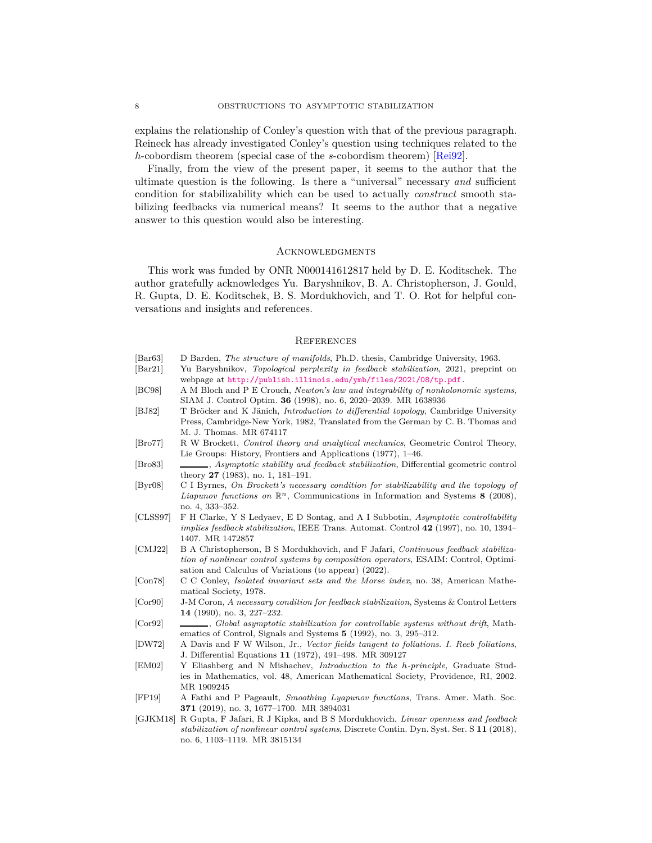explains the relationship of Conley's question with that of the previous paragraph. Reineck has already investigated Conley's question using techniques related to the *h*-cobordism theorem (special case of the *s*-cobordism theorem) [\[Rei92\]](#page-8-21).

Finally, from the view of the present paper, it seems to the author that the ultimate question is the following. Is there a "universal" necessary *and* sufficient condition for stabilizability which can be used to actually *construct* smooth stabilizing feedbacks via numerical means? It seems to the author that a negative answer to this question would also be interesting.

#### **ACKNOWLEDGMENTS**

This work was funded by ONR N000141612817 held by D. E. Koditschek. The author gratefully acknowledges Yu. Baryshnikov, B. A. Christopherson, J. Gould, R. Gupta, D. E. Koditschek, B. S. Mordukhovich, and T. O. Rot for helpful conversations and insights and references.

# **REFERENCES**

<span id="page-7-14"></span><span id="page-7-13"></span><span id="page-7-12"></span><span id="page-7-9"></span><span id="page-7-7"></span><span id="page-7-5"></span><span id="page-7-4"></span><span id="page-7-0"></span>

| $\left[\text{Bar}63\right]$ | D Barden, The structure of manifolds, Ph.D. thesis, Cambridge University, 1963.                   |
|-----------------------------|---------------------------------------------------------------------------------------------------|
| $\left[\text{Bar}21\right]$ | Yu Baryshnikov, <i>Topological perplexity in feedback stabilization</i> , 2021, preprint on       |
|                             | webpage at http://publish.illinois.edu/ymb/files/2021/08/tp.pdf.                                  |
| [BC98]                      | A M Bloch and P E Crouch, Newton's law and integrability of nonholonomic systems,                 |
|                             | SIAM J. Control Optim. 36 (1998), no. 6, 2020–2039. MR 1638936                                    |
| [BJ82]                      | T Bröcker and K Jänich, <i>Introduction to differential topology</i> , Cambridge University       |
|                             | Press, Cambridge-New York, 1982, Translated from the German by C. B. Thomas and                   |
|                             | M. J. Thomas. MR 674117                                                                           |
| $[\text{Bro77}]$            | R W Brockett, Control theory and analytical mechanics, Geometric Control Theory,                  |
|                             | Lie Groups: History, Frontiers and Applications (1977), 1–46.                                     |
| [Bro83]                     | , Asymptotic stability and feedback stabilization, Differential geometric control                 |
|                             | theory $27$ (1983), no. 1, 181–191.                                                               |
| [Byr08]                     | C I Byrnes, On Brockett's necessary condition for stabilizability and the topology of             |
|                             | <i>Liapunov functions on</i> $\mathbb{R}^n$ , Communications in Information and Systems 8 (2008), |
|                             | no. 4, 333–352.                                                                                   |
| [CLSS97]                    | F H Clarke, Y S Ledyaev, E D Sontag, and A I Subbotin, Asymptotic controllability                 |
|                             | <i>implies feedback stabilization</i> , IEEE Trans. Automat. Control 42 (1997), no. 10, 1394–     |
|                             | 1407. MR 1472857                                                                                  |
| [CMJ22]                     | B A Christopherson, B S Mordukhovich, and F Jafari, Continuous feedback stabiliza-                |
|                             | tion of nonlinear control systems by composition operators, ESAIM: Control, Optimi-               |
|                             | sation and Calculus of Variations (to appear) (2022).                                             |
| [Con78]                     | C C Conley, <i>Isolated invariant sets and the Morse index</i> , no. 38, American Mathe-          |
|                             | matical Society, 1978.                                                                            |
| [Cor90]                     | J-M Coron, A necessary condition for feedback stabilization, Systems & Control Letters            |
|                             | 14 (1990), no. 3, 227-232.                                                                        |
| [Cor92]                     |                                                                                                   |
|                             | ematics of Control, Signals and Systems 5 (1992), no. 3, 295–312.                                 |
| [DW72]                      | A Davis and F W Wilson, Jr., Vector fields tangent to foliations. I. Reeb foliations,             |
|                             | J. Differential Equations 11 (1972), 491–498. MR 309127                                           |
| [EM02]                      | Y Eliashberg and N Mishachev, Introduction to the h-principle, Graduate Stud-                     |
|                             | ies in Mathematics, vol. 48, American Mathematical Society, Providence, RI, 2002.                 |
|                             | MR 1909245                                                                                        |
| [FP19]                      | A Fathi and P Pageault, Smoothing Lyapunov functions, Trans. Amer. Math. Soc.                     |
|                             | 371 (2019), no. 3, 1677-1700. MR 3894031                                                          |

<span id="page-7-15"></span><span id="page-7-11"></span><span id="page-7-10"></span><span id="page-7-8"></span><span id="page-7-6"></span><span id="page-7-3"></span><span id="page-7-2"></span><span id="page-7-1"></span>[GJKM18] R Gupta, F Jafari, R J Kipka, and B S Mordukhovich, *Linear openness and feedback stabilization of nonlinear control systems*, Discrete Contin. Dyn. Syst. Ser. S **11** (2018), no. 6, 1103–1119. MR 3815134